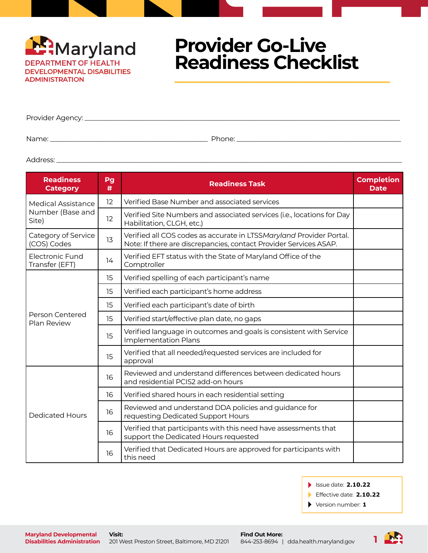

Provider Agency: \_\_\_

Name: \_\_\_\_\_\_\_\_\_\_\_\_\_\_\_\_\_\_\_\_\_\_\_\_\_\_\_\_\_\_\_\_\_\_\_\_\_\_\_\_\_\_\_\_\_\_\_ Phone: \_\_\_\_\_\_\_\_\_\_\_\_\_\_\_\_\_\_\_\_\_\_\_\_\_\_\_\_\_\_\_\_\_\_\_\_\_\_\_\_\_\_\_\_\_\_\_\_\_

Address: \_\_\_\_\_\_\_\_\_\_\_\_\_\_\_\_\_\_\_\_\_\_\_\_\_\_\_\_\_\_\_\_\_\_\_\_\_\_\_\_\_\_\_\_\_\_\_\_\_\_\_\_\_\_\_\_\_\_\_\_\_\_\_\_\_\_\_\_\_\_\_\_\_\_\_\_\_\_\_\_\_\_\_\_\_\_\_\_\_\_\_\_\_\_\_\_\_\_\_\_\_\_\_

| <b>Readiness</b><br><b>Category</b> | Pg<br># | <b>Readiness Task</b>                                                                                                                    | <b>Completion</b><br><b>Date</b> |
|-------------------------------------|---------|------------------------------------------------------------------------------------------------------------------------------------------|----------------------------------|
| Medical Assistance                  | 12      | Verified Base Number and associated services                                                                                             |                                  |
| Number (Base and<br>Site)           | 12      | Verified Site Numbers and associated services (i.e., locations for Day<br>Habilitation, CLGH, etc.)                                      |                                  |
| Category of Service<br>(COS) Codes  | 13      | Verified all COS codes as accurate in LTSSMaryland Provider Portal.<br>Note: If there are discrepancies, contact Provider Services ASAP. |                                  |
| Electronic Fund<br>Transfer (EFT)   | 14      | Verified EFT status with the State of Maryland Office of the<br>Comptroller                                                              |                                  |
|                                     | 15      | Verified spelling of each participant's name                                                                                             |                                  |
|                                     | 15      | Verified each participant's home address                                                                                                 |                                  |
|                                     | 15      | Verified each participant's date of birth                                                                                                |                                  |
| Person Centered<br>Plan Review      | 15      | Verified start/effective plan date, no gaps                                                                                              |                                  |
|                                     | 15      | Verified language in outcomes and goals is consistent with Service<br><b>Implementation Plans</b>                                        |                                  |
|                                     | 15      | Verified that all needed/requested services are included for<br>approval                                                                 |                                  |
|                                     | 16      | Reviewed and understand differences between dedicated hours<br>and residential PCIS2 add-on hours                                        |                                  |
|                                     | 16      | Verified shared hours in each residential setting                                                                                        |                                  |
| <b>Dedicated Hours</b>              | 16      | Reviewed and understand DDA policies and guidance for<br>requesting Dedicated Support Hours                                              |                                  |
|                                     | 16      | Verified that participants with this need have assessments that<br>support the Dedicated Hours requested                                 |                                  |
|                                     | 16      | Verified that Dedicated Hours are approved for participants with<br>this need                                                            |                                  |

Issue date: **2.10.22**

Effective date: **2.10.22**

Version number: **1**

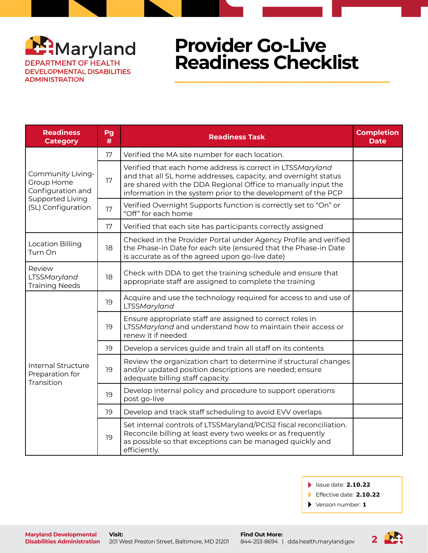

| <b>Readiness</b><br><b>Category</b>                        | Pg<br># | <b>Readiness Task</b>                                                                                                                                                                                                                                          | <b>Completion</b><br><b>Date</b> |
|------------------------------------------------------------|---------|----------------------------------------------------------------------------------------------------------------------------------------------------------------------------------------------------------------------------------------------------------------|----------------------------------|
|                                                            | 17      | Verified the MA site number for each location.                                                                                                                                                                                                                 |                                  |
| Community Living-<br>Group Home<br>Configuration and       | 17      | Verified that each home address is correct in LTSSMaryland<br>and that all SL home addresses, capacity, and overnight status<br>are shared with the DDA Regional Office to manually input the<br>information in the system prior to the development of the PCP |                                  |
| Supported Living<br>(SL) Configuration                     | 17      | Verified Overnight Supports function is correctly set to "On" or<br>"Off" for each home                                                                                                                                                                        |                                  |
|                                                            | 17      | Verified that each site has participants correctly assigned                                                                                                                                                                                                    |                                  |
| <b>Location Billing</b><br>Turn On                         | 18      | Checked in the Provider Portal under Agency Profile and verified<br>the Phase-in Date for each site (ensured that the Phase-in Date<br>is accurate as of the agreed upon go-live date)                                                                         |                                  |
| Review<br>LTSSMaryland<br><b>Training Needs</b>            | 18      | Check with DDA to get the training schedule and ensure that<br>appropriate staff are assigned to complete the training                                                                                                                                         |                                  |
|                                                            | 19      | Acquire and use the technology required for access to and use of<br>LTSSMaryland                                                                                                                                                                               |                                  |
|                                                            | 19      | Ensure appropriate staff are assigned to correct roles in<br>LTSSMaryland and understand how to maintain their access or<br>renew it if needed                                                                                                                 |                                  |
|                                                            | 19      | Develop a services guide and train all staff on its contents                                                                                                                                                                                                   |                                  |
| <b>Internal Structure</b><br>Preparation for<br>Transition | 19      | Review the organization chart to determine if structural changes<br>and/or updated position descriptions are needed; ensure<br>adequate billing staff capacity                                                                                                 |                                  |
|                                                            | 19      | Develop internal policy and procedure to support operations<br>post go-live                                                                                                                                                                                    |                                  |
|                                                            | 19      | Develop and track staff scheduling to avoid EVV overlaps                                                                                                                                                                                                       |                                  |
|                                                            | 19      | Set internal controls of LTSSMaryland/PCIS2 fiscal reconciliation.<br>Reconcile billing at least every two weeks or as frequently<br>as possible so that exceptions can be managed quickly and<br>efficiently.                                                 |                                  |

Issue date: **2.10.22**

Effective date: **2.10.22**

 $\blacktriangleright$ Version number: **1**

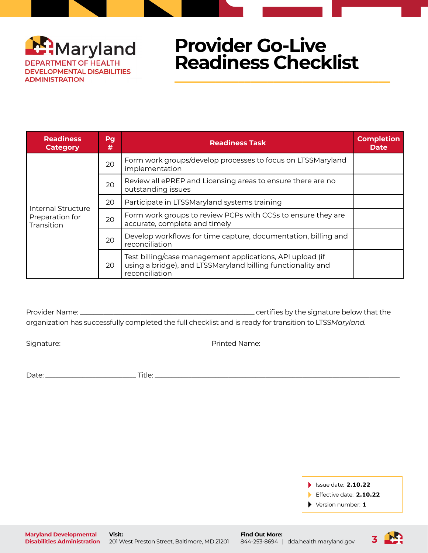

| <b>Readiness</b><br><b>Category</b> | Pg<br><b>Readiness Task</b><br># |                                                                                                                                            | <b>Completion</b><br><b>Date</b> |
|-------------------------------------|----------------------------------|--------------------------------------------------------------------------------------------------------------------------------------------|----------------------------------|
|                                     | 20                               | Form work groups/develop processes to focus on LTSSMaryland<br>implementation                                                              |                                  |
|                                     | 20                               | Review all ePREP and Licensing areas to ensure there are no<br>outstanding issues                                                          |                                  |
| Internal Structure                  | 20                               | Participate in LTSSMaryland systems training                                                                                               |                                  |
| Preparation for<br>Transition       | 20                               | Form work groups to review PCPs with CCSs to ensure they are<br>accurate, complete and timely                                              |                                  |
|                                     | 20                               | Develop workflows for time capture, documentation, billing and<br>reconciliation                                                           |                                  |
|                                     | 20                               | Test billing/case management applications, API upload (if<br>using a bridge), and LTSSMaryland billing functionality and<br>reconciliation |                                  |

Provider Name: \_\_\_\_\_\_\_\_\_\_\_\_\_\_\_\_\_\_\_\_\_\_\_\_\_\_\_\_\_\_\_\_\_\_\_\_\_\_\_\_\_\_\_\_\_\_\_\_\_\_\_\_ certifies by the signature below that the organization has successfully completed the full checklist and is ready for transition to LTSS*Maryland.*

Signature: \_\_\_\_\_\_\_\_\_\_\_\_\_\_\_\_\_\_\_\_\_\_\_\_\_\_\_\_\_\_\_\_\_\_\_\_\_\_\_\_\_\_\_\_ Printed Name: \_\_\_\_\_\_\_\_\_\_\_\_\_\_\_\_\_\_\_\_\_\_\_\_\_\_\_\_\_\_\_\_\_\_\_\_\_\_\_\_\_

Date: \_\_\_\_\_\_\_\_\_\_\_\_\_\_\_\_\_\_\_\_\_\_\_\_\_\_\_ Title: \_\_\_\_\_\_\_\_\_\_\_\_\_\_\_\_\_\_\_\_\_\_\_\_\_\_\_\_\_\_\_\_\_\_\_\_\_\_\_\_\_\_\_\_\_\_\_\_\_\_\_\_\_\_\_\_\_\_\_\_\_\_\_\_\_\_\_\_\_\_\_\_\_

Issue date: **2.10.22**

Effective date: **2.10.22**

Version number: **1**

**Maryland Developmental Disabilities Administration**

**Visit:** 201 West Preston Street, Baltimore, MD 21201 **Find Out More:** 844-253-8694 | [dda.health.maryland.gov](http://dda.health.maryland.gov)

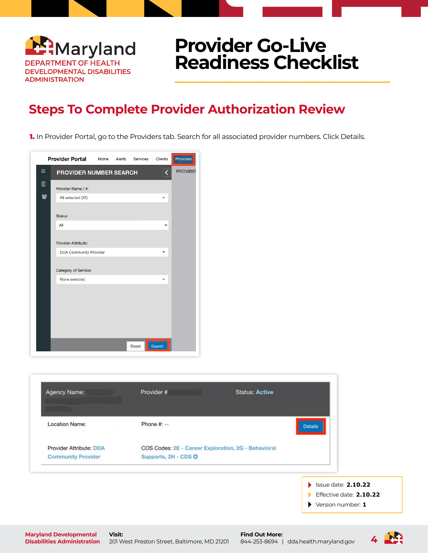

#### **Steps To Complete Provider Authorization Review**

1. In Provider Portal, go to the Providers tab. Search for all associated provider numbers. Click Details.

|                              | <b>Provider Portal</b>        | Home | Alerts | Services | <b>Clients</b> | Providers       |
|------------------------------|-------------------------------|------|--------|----------|----------------|-----------------|
| $\equiv$                     | PROVIDER NUMBER SEARCH        |      |        |          | K              | <b>PROVIDEI</b> |
| $\qquad \qquad \blacksquare$ | Provider Name / #:            |      |        |          |                |                 |
| 쓥                            | All selected (37)             |      |        |          | ٠              |                 |
|                              | Status:                       |      |        |          |                |                 |
|                              | All                           |      |        |          | v              |                 |
|                              | Provider Attribute:           |      |        |          |                |                 |
|                              | <b>DDA Community Provider</b> |      |        |          | ٠              |                 |
|                              | Category of Service:          |      |        |          |                |                 |
|                              | None selected                 |      |        |          |                |                 |
|                              |                               |      |        |          |                |                 |
|                              |                               |      |        |          |                |                 |
|                              |                               |      |        |          |                |                 |
|                              |                               |      |        |          |                |                 |
|                              |                               |      |        | Reset    | Search         |                 |

**Disabilities Administration** 201 West Preston Street, Baltimore, MD 21201

| <b>Location Name:</b>                        | Phone $#: --$                                       | <b>Details</b>           |
|----------------------------------------------|-----------------------------------------------------|--------------------------|
| <b>CONTRACTOR</b><br>Provider Attribute: DDA | COS Codes: 2E - Career Exploration, 2G - Behavioral |                          |
| <b>Community Provider</b>                    | Supports, 2H - CDS O                                |                          |
|                                              |                                                     | Issue date: 2.10.22<br>Ы |
|                                              |                                                     | Effective date: 2.10.22  |
|                                              |                                                     | Version number: 1<br>▶   |

844-253-8694 | [dda.health.maryland.gov](http://dda.health.maryland.gov)